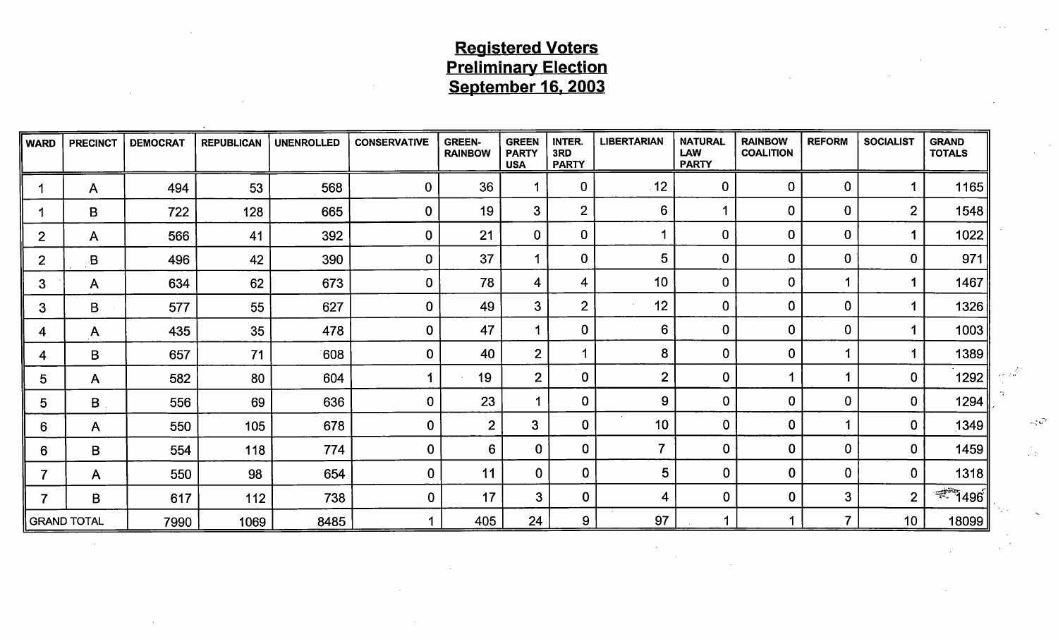# Registered Voters Preliminary Election <u>September 16, 2003</u>

|                 | WARD PRECINCT DEMOCRAT REPUBLICAN UNENROLLED CONSERVATIVE GREEN- GREEN INTER. LIBERTARIAN NATURAL RAINBOW REFORM SOCIALIST GRAND<br>RAINBOW PARTY 3RD LAW COALITION TOTALS USA PARTY USA PARTY |                                         |                  |                             |              |                   |                 |        |        |                              |
|-----------------|------------------------------------------------------------------------------------------------------------------------------------------------------------------------------------------------|-----------------------------------------|------------------|-----------------------------|--------------|-------------------|-----------------|--------|--------|------------------------------|
|                 |                                                                                                                                                                                                | 494                                     |                  | 568                         |              |                   | 12 <sup>1</sup> |        |        | 1165                         |
|                 |                                                                                                                                                                                                | 722                                     | 12ర              | 665                         |              |                   |                 |        |        | 1548                         |
| ——              |                                                                                                                                                                                                | ————— <del>——</del><br>566 <sub>1</sub> |                  | 392<br>——————— <del>—</del> |              | ╾╂╾╼═╾╾╾╉═╾╾╾══┽═ |                 |        |        |                              |
|                 | $\blacksquare$<br>ـــ<br>_____                                                                                                                                                                 | _______<br>496                          |                  | 390<br>________             | 27           |                   |                 |        |        | $\sim$                       |
| ——              | _____                                                                                                                                                                                          | 634                                     |                  | 673                         | $70^{\circ}$ | _______           | 10 <sup>1</sup> | ______ |        | 1467<br>_______              |
| ———             |                                                                                                                                                                                                | 577                                     |                  | 627                         |              |                   | 10 <sup>1</sup> |        | $\sim$ | 1326<br>_______              |
|                 |                                                                                                                                                                                                | 435                                     |                  | 478                         |              |                   |                 |        |        | 1002                         |
|                 | _______ <del>_____________________</del>                                                                                                                                                       | 657                                     |                  | 608<br>_______________      |              |                   |                 |        |        | 138                          |
|                 | $\overline{A}$                                                                                                                                                                                 | 582                                     |                  | 604                         |              |                   |                 |        |        | 1292                         |
|                 |                                                                                                                                                                                                | 556                                     | 69.              | 636                         |              |                   |                 | ____   |        | 400                          |
| 6 I             | $\mathsf{A}$                                                                                                                                                                                   | 550                                     | 105              | 678                         |              |                   |                 |        |        | 1210                         |
|                 | 6   B                                                                                                                                                                                          | 554                                     | 118 <sup>1</sup> | 774                         |              |                   |                 |        |        | 1459                         |
| $\rightarrow$ 1 | <b>A</b>                                                                                                                                                                                       | 550                                     |                  | 654                         |              |                   |                 |        |        | 131                          |
| $7 \parallel$   | $\overline{B}$                                                                                                                                                                                 | 61                                      | 112              | 738                         |              |                   |                 |        | $\sim$ | $\frac{1}{2}$ 1496<br>______ |
|                 | GRAND TOTAL                                                                                                                                                                                    | 7990                                    | 1069             | 8485                        | $A \cap E$   |                   |                 |        |        | 1809C                        |
|                 |                                                                                                                                                                                                |                                         |                  |                             |              |                   |                 |        |        |                              |
|                 |                                                                                                                                                                                                |                                         |                  |                             |              |                   |                 |        |        |                              |
|                 |                                                                                                                                                                                                |                                         |                  |                             |              |                   |                 |        |        |                              |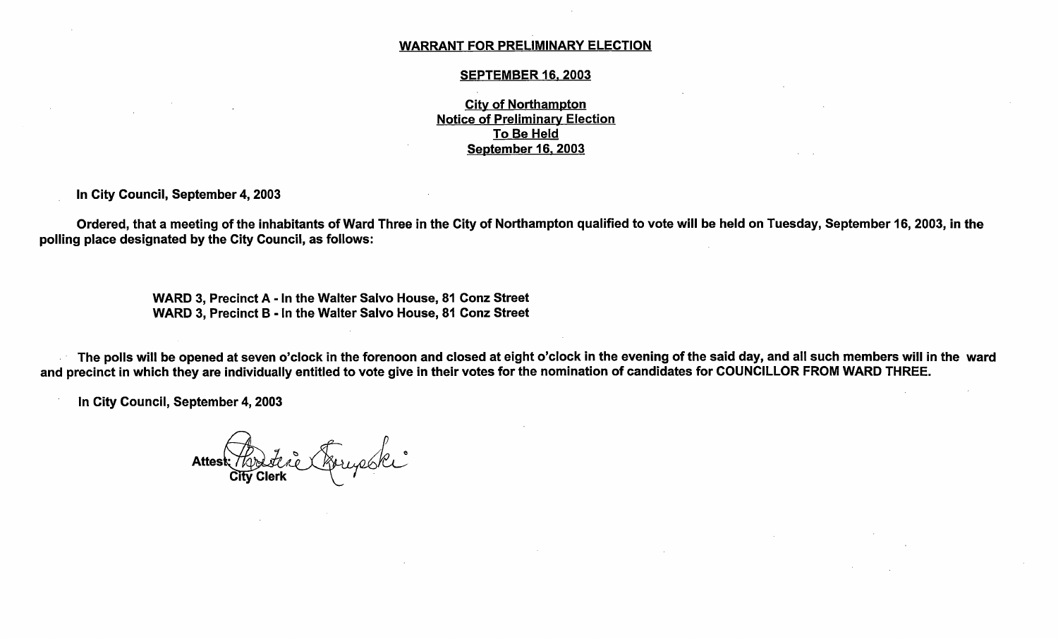#### WARRANT FOR PRELIMINARY ELECTION

#### SEPTEMBER 16, 2003

City of Northampton Notice of Preliminary Election To Be Held September 16, 2003

In City Council, September 4, 2003

Ordered, that a meeting of the inhabitants of Ward Three in the City of Northampton qualified to vote will be held on Tuesday, September 16, 2003, in the polling place designated by the City Council, as follows:

> WARD 3, Precinct A - In the Walter Salvo House, 81 Conz Street WARD 3, Precinct B - In the Walter Salvo House, 81 Conz Street

The polls will be opened at seven o'clock in the forenoon and closed at eight o' clock in the evening of the said day, and all such members will in the ward and precinct in which they are individually entitled to vote give in their votes for the nomination of candidates for COUNCILLOR FROM WARD THREE.

In City Council, September 4, 2003

ra Attest Rodetie Arrycoki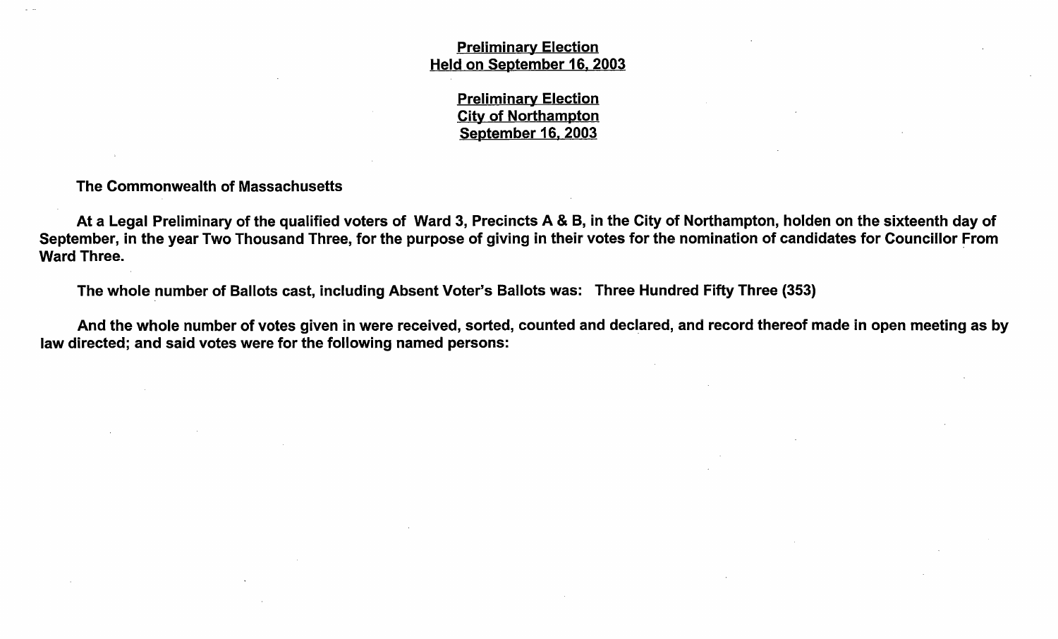Preliminary Election Held on September 16, 2003

> Preliminary Election City of Northampton September 16, 2003

The Commonwealth of Massachusetts

At <sup>a</sup> Legal Preliminary of the qualified voters of Ward 3, Precincts A & B, in the City of Northampton, holden on the sixteenth day of September, in the year Two Thousand Three, for the purpose of giving in their votes for the nomination of candidates for Councillor From Ward Three.

The whole number of Ballots cast, including Absent Voter's Ballots was: Three Hundred Fifty Three (353)

And the whole number of votes given in were received, sorted, counted and declared, and record thereof made in open meeting as by law directed; and said votes were for the following named persons: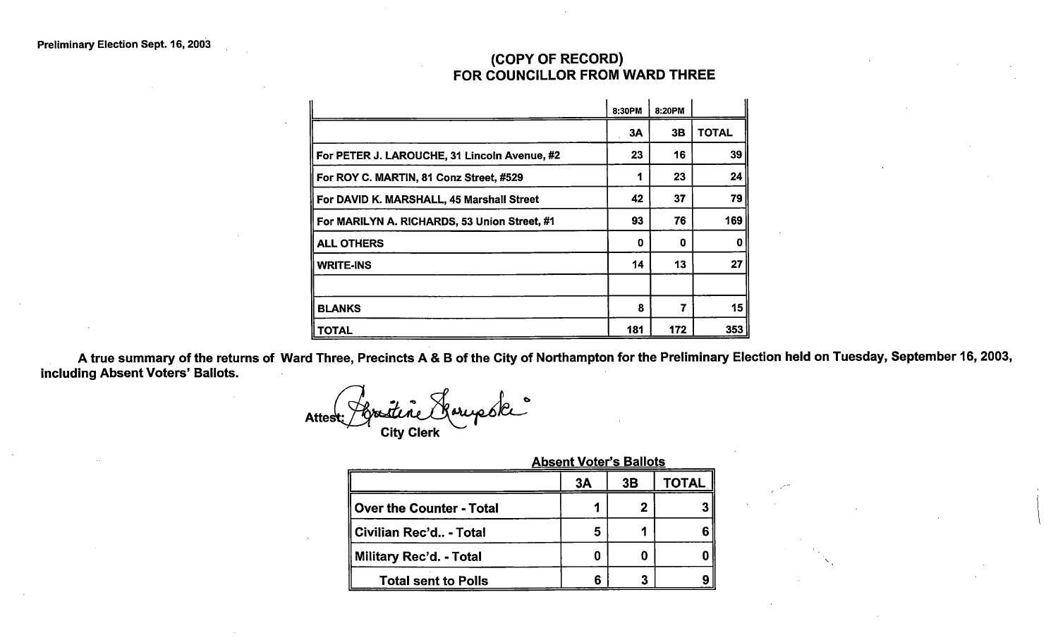## COPY OF RECORD) FOR COUNCILLOR FROM WARD THREE

| (COPY OF RECORD)                             |        |        |              |
|----------------------------------------------|--------|--------|--------------|
| FOR COUNCILLOR FROM WARD THREE               |        |        |              |
|                                              | 8:30PM | 8:20PM |              |
|                                              | 3A     | 3B     | <b>TOTAL</b> |
| For PETER J. LAROUCHE, 31 Lincoln Avenue, #2 | 23     | 16     | 39           |
| For ROY C. MARTIN, 81 Conz Street, #529      | 1      | 23     | 24           |
| For DAVID K. MARSHALL, 45 Marshall Street    | 42     | 37     | 79           |
| For MARILYN A. RICHARDS, 53 Union Street, #1 | 93     | 76     | 169          |
| <b>ALL OTHERS</b>                            | 0      | 0      | 0            |
| <b>WRITE-INS</b>                             | 14     | 13     | 27           |
|                                              |        |        |              |
| <b>BLANKS</b>                                | 8      | 7      | 15           |
| <b>TOTAL</b>                                 | 181    | 172    | 353          |

A true summary of the returns of Ward Three, Precincts A & <sup>B</sup> of the City of Northampton for the Preliminary Election held on Tuesday, September 16, 2003, including Absent Voters' Ballots.

Atte City Clerk

|                            |    | <b>Absent Voter's Ballots</b> |       |  |  |
|----------------------------|----|-------------------------------|-------|--|--|
|                            | 3A | 3B                            | TOTAL |  |  |
| ∥ Over the Counter - Total |    |                               |       |  |  |
| ∥Civilian Rec'd - Total    | 5  |                               |       |  |  |
| ∥ Military Rec'd. - Total  | 0  |                               |       |  |  |
| <b>Total sent to Polls</b> | 6  |                               |       |  |  |

#### Absent Voter's Ballots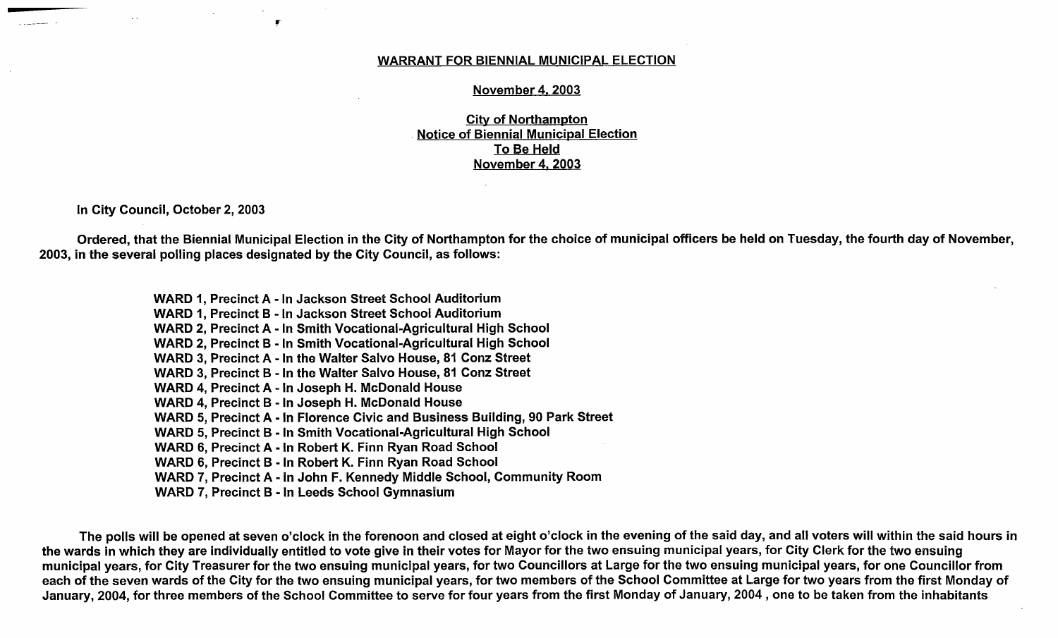#### WARRANT FOR BIENNIAL MUNICIPAL ELECTION

#### November 4. 2003

City of Northampton Notice of Biennial Municipal Election To Be Held November 4, 2003

In City Council, October 2, 2003

 $\bullet$ 

Ordered, that the Biennial Municipal Election in the City of Northampton for the choice of municipal officers be held on Tuesday, the fourth day of November, 2003, in the several polling places designated by the City Council, as follows:

> WARD 1, Precinct A - In Jackson Street School Auditorium WARD 1, Precinct B - In Jackson Street School Auditorium WARD 2, Precinct A - In Smith Vocational-Agricultural High School WARD 2, Precinct B - In Smith Vocational-Agricultural High School WARD 3, Precinct A - In the Walter Salvo House, 81 Conz Street WARD 3, Precinct B - In the Walter Salvo House, 81 Conz Street WARD 4, Precinct A - In Joseph H. McDonald House WARD 4, Precinct B - In Joseph H. McDonald House WARD 5, Precinct A - In Florence Civic and Business Building, 90 Park Street WARD 5, Precinct B - In Smith Vocational-Agricultural High School WARD 6, Precinct A - In Robert K. Finn Ryan Road School WARD 6, Precinct B - In Robert K. Finn Ryan Road School WARD 7, Precinct A - In John F. Kennedy Middle School, Community Room WARD 7, Precinct B - In Leeds School Gymnasium

The polls will be opened at seven o'clock in the forenoon and closed at eight o'clock in the evening of the said day, and all voters will within the said hours in the wards in which they are individually entitled to vote give in their votes for Mayor for the two ensuing municipal years, for City Clerk for the two ensuing municipal years, for City Treasurer for the two ensuing municipal years, for two Councillors at Large for the two ensuing municipal years, for one Councillor from each of the seven wards of the City for the two ensuing municipal years, for two members of the School Committee at Large for two years from the first Monday of January, 2004, for three members of the School Committee to serve for four years from the first Monday of January, 2004 , one to be taken from the inhabitants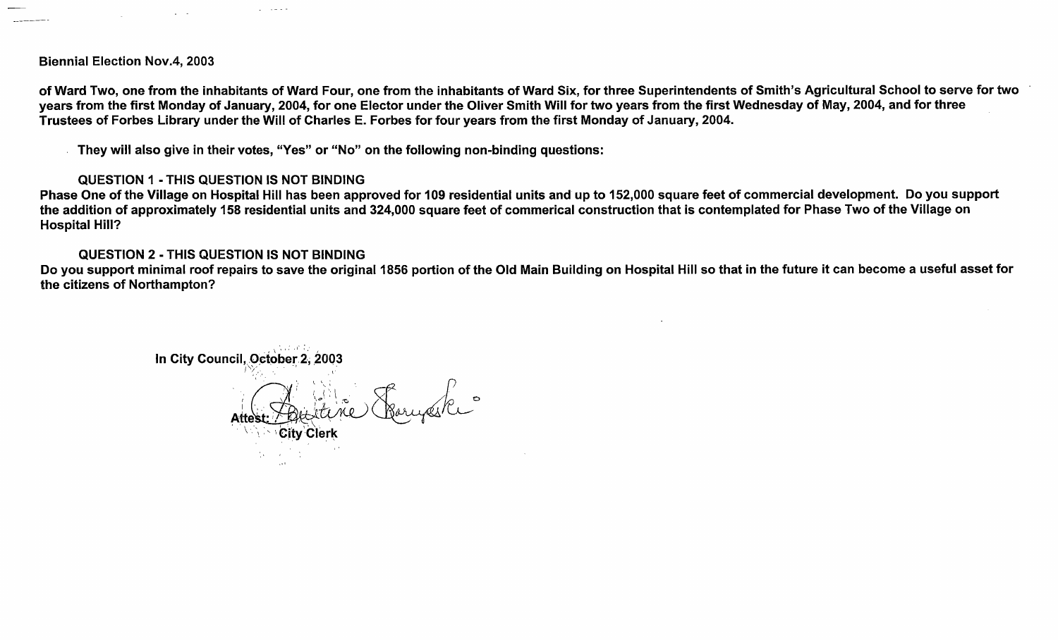Biennial Election Nov.4, 2003

 $\Delta \sim 100$ 

of Ward Two, one from the inhabitants of Ward Four, one from the inhabitants of Ward Six, for three Superintendents of Smith's Agricultural School to serve for two years from the first Monday of January, 2004, for one Elector under the Oliver Smith Will for two years from the first Wednesday of May, 2004, and for three Trustees of Forbes Library under the Will of Charles E. Forbes for four years from the first Monday of January, 2004.

They will also give in their votes, "Yes" or "No" on the following non-binding questions:

### QUESTION 1 - THIS QUESTION IS NOT BINDING

 $\Delta \sim 1.2 \times 10^{-4}$ 

Phase One of the Village on Hospital Hill has been approved for 109 residential units and up to 152,000 square feet of commercial development. Do you support the addition of approximately 158 residential units and 324,000 square feet of commerical construction that is contemplated for Phase Two of the Village on Hospital Hill?

#### QUESTION 2 - THIS QUESTION IS NOT BINDING

Do you support minimal roof repairs to save the original 1856 portion of the Old Main Building on Hospital Hill so that in the future it can become a useful asset for the citizens of Northampton?

In City Council, October 2, 2003  $\{ \Box \}$ Attest  $\geq$ City Clerk